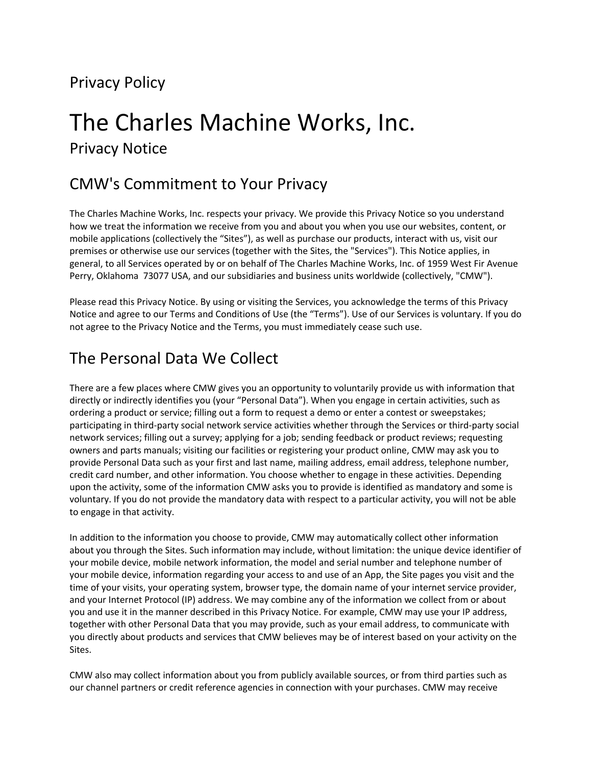# Privacy Policy

# The Charles Machine Works, Inc.

Privacy Notice

## CMW's Commitment to Your Privacy

The Charles Machine Works, Inc. respects your privacy. We provide this Privacy Notice so you understand how we treat the information we receive from you and about you when you use our websites, content, or mobile applications (collectively the "Sites"), as well as purchase our products, interact with us, visit our premises or otherwise use our services (together with the Sites, the "Services"). This Notice applies, in general, to all Services operated by or on behalf of The Charles Machine Works, Inc. of 1959 West Fir Avenue Perry, Oklahoma 73077 USA, and our subsidiaries and business units worldwide (collectively, "CMW").

Please read this Privacy Notice. By using or visiting the Services, you acknowledge the terms of this Privacy Notice and agree to our Terms and Conditions of Use (the "Terms"). Use of our Services is voluntary. If you do not agree to the Privacy Notice and the Terms, you must immediately cease such use.

# The Personal Data We Collect

There are a few places where CMW gives you an opportunity to voluntarily provide us with information that directly or indirectly identifies you (your "Personal Data"). When you engage in certain activities, such as ordering a product or service; filling out a form to request a demo or enter a contest or sweepstakes; participating in third-party social network service activities whether through the Services or third-party social network services; filling out a survey; applying for a job; sending feedback or product reviews; requesting owners and parts manuals; visiting our facilities or registering your product online, CMW may ask you to provide Personal Data such as your first and last name, mailing address, email address, telephone number, credit card number, and other information. You choose whether to engage in these activities. Depending upon the activity, some of the information CMW asks you to provide is identified as mandatory and some is voluntary. If you do not provide the mandatory data with respect to a particular activity, you will not be able to engage in that activity.

In addition to the information you choose to provide, CMW may automatically collect other information about you through the Sites. Such information may include, without limitation: the unique device identifier of your mobile device, mobile network information, the model and serial number and telephone number of your mobile device, information regarding your access to and use of an App, the Site pages you visit and the time of your visits, your operating system, browser type, the domain name of your internet service provider, and your Internet Protocol (IP) address. We may combine any of the information we collect from or about you and use it in the manner described in this Privacy Notice. For example, CMW may use your IP address, together with other Personal Data that you may provide, such as your email address, to communicate with you directly about products and services that CMW believes may be of interest based on your activity on the Sites.

CMW also may collect information about you from publicly available sources, or from third parties such as our channel partners or credit reference agencies in connection with your purchases. CMW may receive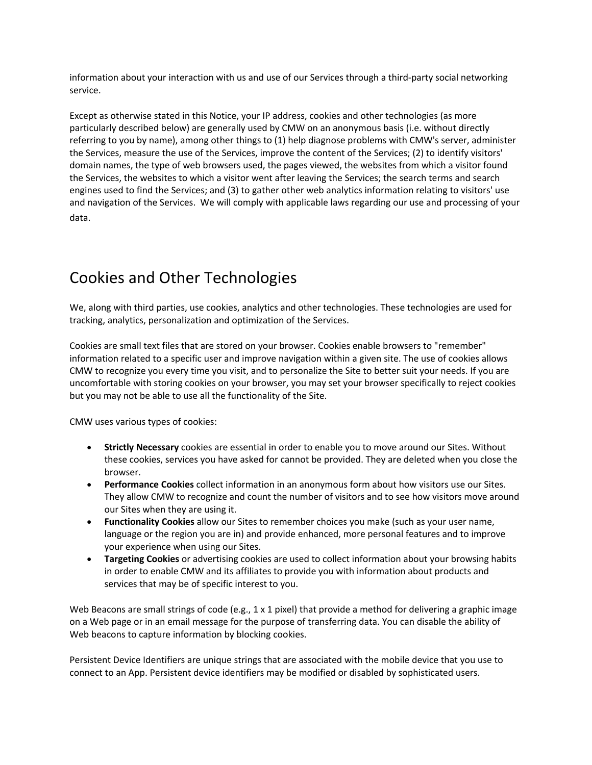information about your interaction with us and use of our Services through a third-party social networking service.

Except as otherwise stated in this Notice, your IP address, cookies and other technologies (as more particularly described below) are generally used by CMW on an anonymous basis (i.e. without directly referring to you by name), among other things to (1) help diagnose problems with CMW's server, administer the Services, measure the use of the Services, improve the content of the Services; (2) to identify visitors' domain names, the type of web browsers used, the pages viewed, the websites from which a visitor found the Services, the websites to which a visitor went after leaving the Services; the search terms and search engines used to find the Services; and (3) to gather other web analytics information relating to visitors' use and navigation of the Services. We will comply with applicable laws regarding our use and processing of your data.

#### Cookies and Other Technologies

We, along with third parties, use cookies, analytics and other technologies. These technologies are used for tracking, analytics, personalization and optimization of the Services.

Cookies are small text files that are stored on your browser. Cookies enable browsers to "remember" information related to a specific user and improve navigation within a given site. The use of cookies allows CMW to recognize you every time you visit, and to personalize the Site to better suit your needs. If you are uncomfortable with storing cookies on your browser, you may set your browser specifically to reject cookies but you may not be able to use all the functionality of the Site.

CMW uses various types of cookies:

- **Strictly Necessary** cookies are essential in order to enable you to move around our Sites. Without these cookies, services you have asked for cannot be provided. They are deleted when you close the browser.
- **Performance Cookies** collect information in an anonymous form about how visitors use our Sites. They allow CMW to recognize and count the number of visitors and to see how visitors move around our Sites when they are using it.
- **Functionality Cookies** allow our Sites to remember choices you make (such as your user name, language or the region you are in) and provide enhanced, more personal features and to improve your experience when using our Sites.
- **Targeting Cookies** or advertising cookies are used to collect information about your browsing habits in order to enable CMW and its affiliates to provide you with information about products and services that may be of specific interest to you.

Web Beacons are small strings of code (e.g., 1 x 1 pixel) that provide a method for delivering a graphic image on a Web page or in an email message for the purpose of transferring data. You can disable the ability of Web beacons to capture information by blocking cookies.

Persistent Device Identifiers are unique strings that are associated with the mobile device that you use to connect to an App. Persistent device identifiers may be modified or disabled by sophisticated users.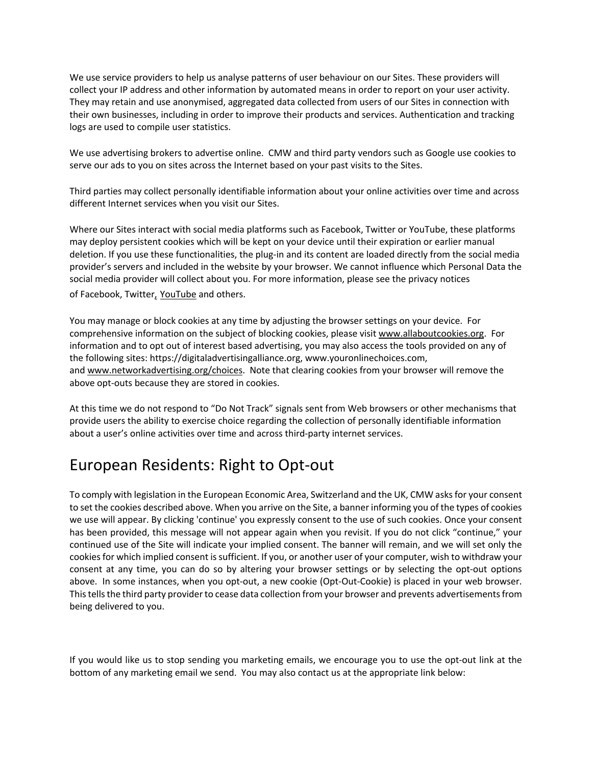We use service providers to help us analyse patterns of user behaviour on our Sites. These providers will collect your IP address and other information by automated means in order to report on your user activity. They may retain and use anonymised, aggregated data collected from users of our Sites in connection with their own businesses, including in order to improve their products and services. Authentication and tracking logs are used to compile user statistics.

We use advertising brokers to advertise online. CMW and third party vendors such as Google use cookies to serve our ads to you on sites across the Internet based on your past visits to the Sites.

Third parties may collect personally identifiable information about your online activities over time and across different Internet services when you visit our Sites.

Where our Sites interact with social media platforms such as Facebook, Twitter or YouTube, these platforms may deploy persistent cookies which will be kept on your device until their expiration or earlier manual deletion. If you use these functionalities, the plug-in and its content are loaded directly from the social media provider's servers and included in the website by your browser. We cannot influence which Personal Data the social media provider will collect about you. For more information, please see the privacy notices of Facebook, Twitter, YouTube and others.

You may manage or block cookies at any time by adjusting the browser settings on your device. For comprehensive information on the subject of blocking cookies, please visit www.allaboutcookies.org. For information and to opt out of interest based advertising, you may also access the tools provided on any of the following sites: https://digitaladvertisingalliance.org, www.youronlinechoices.com, and www.networkadvertising.org/choices. Note that clearing cookies from your browser will remove the above opt-outs because they are stored in cookies.

At this time we do not respond to "Do Not Track" signals sent from Web browsers or other mechanisms that provide users the ability to exercise choice regarding the collection of personally identifiable information about a user's online activities over time and across third-party internet services.

#### European Residents: Right to Opt-out

To comply with legislation in the European Economic Area, Switzerland and the UK, CMW asks for your consent to set the cookies described above. When you arrive on the Site, a banner informing you of the types of cookies we use will appear. By clicking 'continue' you expressly consent to the use of such cookies. Once your consent has been provided, this message will not appear again when you revisit. If you do not click "continue," your continued use of the Site will indicate your implied consent. The banner will remain, and we will set only the cookies for which implied consent is sufficient. If you, or another user of your computer, wish to withdraw your consent at any time, you can do so by altering your browser settings or by selecting the opt-out options above. In some instances, when you opt-out, a new cookie (Opt-Out-Cookie) is placed in your web browser. This tells the third party provider to cease data collection from your browser and prevents advertisements from being delivered to you.

If you would like us to stop sending you marketing emails, we encourage you to use the opt-out link at the bottom of any marketing email we send. You may also contact us at the appropriate link below: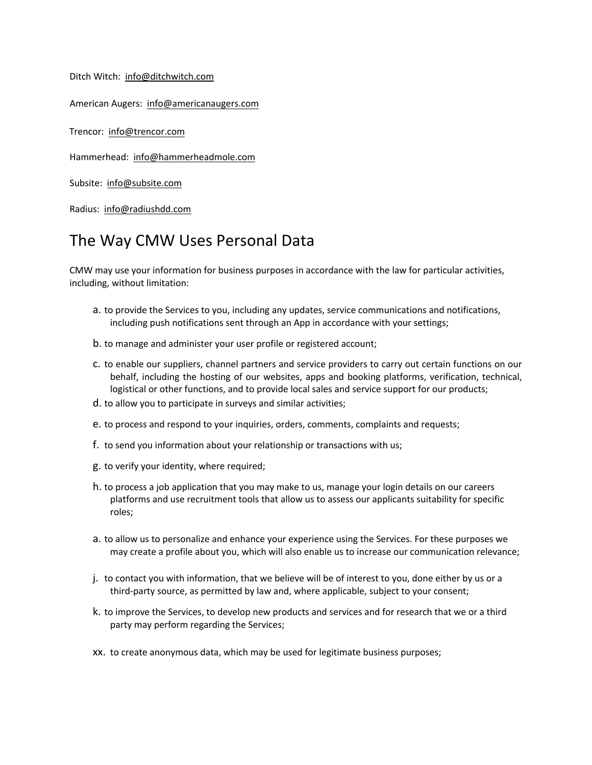Ditch Witch: info@ditchwitch.com

American Augers: info@americanaugers.com

Trencor: info@trencor.com

Hammerhead: info@hammerheadmole.com

Subsite: info@subsite.com

Radius: info@radiushdd.com

#### The Way CMW Uses Personal Data

CMW may use your information for business purposes in accordance with the law for particular activities, including, without limitation:

- a. to provide the Services to you, including any updates, service communications and notifications, including push notifications sent through an App in accordance with your settings;
- b. to manage and administer your user profile or registered account;
- c. to enable our suppliers, channel partners and service providers to carry out certain functions on our behalf, including the hosting of our websites, apps and booking platforms, verification, technical, logistical or other functions, and to provide local sales and service support for our products;
- d. to allow you to participate in surveys and similar activities;
- e. to process and respond to your inquiries, orders, comments, complaints and requests;
- f. to send you information about your relationship or transactions with us;
- g. to verify your identity, where required;
- h. to process a job application that you may make to us, manage your login details on our careers platforms and use recruitment tools that allow us to assess our applicants suitability for specific roles;
- a. to allow us to personalize and enhance your experience using the Services. For these purposes we may create a profile about you, which will also enable us to increase our communication relevance;
- j. to contact you with information, that we believe will be of interest to you, done either by us or a third-party source, as permitted by law and, where applicable, subject to your consent;
- k. to improve the Services, to develop new products and services and for research that we or a third party may perform regarding the Services;
- xx. to create anonymous data, which may be used for legitimate business purposes;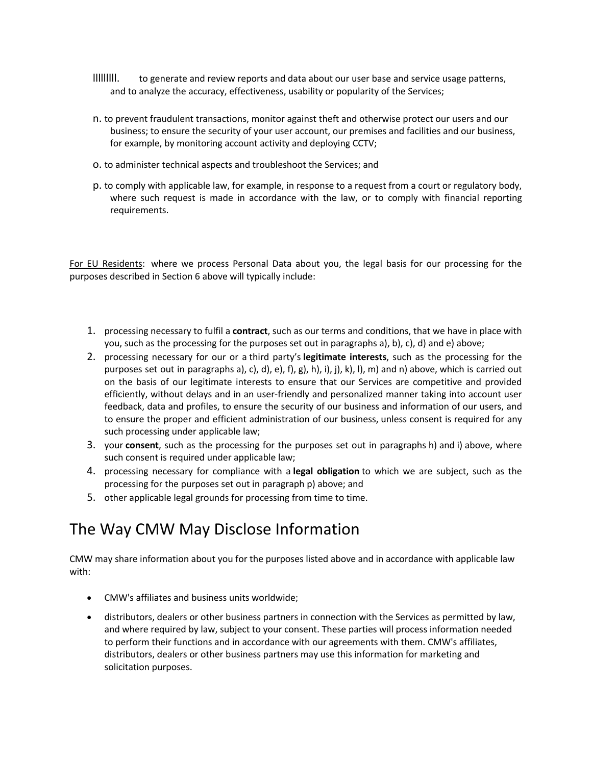- lllllllll. to generate and review reports and data about our user base and service usage patterns, and to analyze the accuracy, effectiveness, usability or popularity of the Services;
- n. to prevent fraudulent transactions, monitor against theft and otherwise protect our users and our business; to ensure the security of your user account, our premises and facilities and our business, for example, by monitoring account activity and deploying CCTV;
- o. to administer technical aspects and troubleshoot the Services; and
- p. to comply with applicable law, for example, in response to a request from a court or regulatory body, where such request is made in accordance with the law, or to comply with financial reporting requirements.

For EU Residents: where we process Personal Data about you, the legal basis for our processing for the purposes described in Section 6 above will typically include:

- 1. processing necessary to fulfil a **contract**, such as our terms and conditions, that we have in place with you, such as the processing for the purposes set out in paragraphs a), b), c), d) and e) above;
- 2. processing necessary for our or a third party's **legitimate interests**, such as the processing for the purposes set out in paragraphs a), c), d), e), f), g), h), i), j), k), l), m) and n) above, which is carried out on the basis of our legitimate interests to ensure that our Services are competitive and provided efficiently, without delays and in an user-friendly and personalized manner taking into account user feedback, data and profiles, to ensure the security of our business and information of our users, and to ensure the proper and efficient administration of our business, unless consent is required for any such processing under applicable law;
- 3. your **consent**, such as the processing for the purposes set out in paragraphs h) and i) above, where such consent is required under applicable law;
- 4. processing necessary for compliance with a **legal obligation** to which we are subject, such as the processing for the purposes set out in paragraph p) above; and
- 5. other applicable legal grounds for processing from time to time.

#### The Way CMW May Disclose Information

CMW may share information about you for the purposes listed above and in accordance with applicable law with:

- CMW's affiliates and business units worldwide;
- distributors, dealers or other business partners in connection with the Services as permitted by law, and where required by law, subject to your consent. These parties will process information needed to perform their functions and in accordance with our agreements with them. CMW's affiliates, distributors, dealers or other business partners may use this information for marketing and solicitation purposes.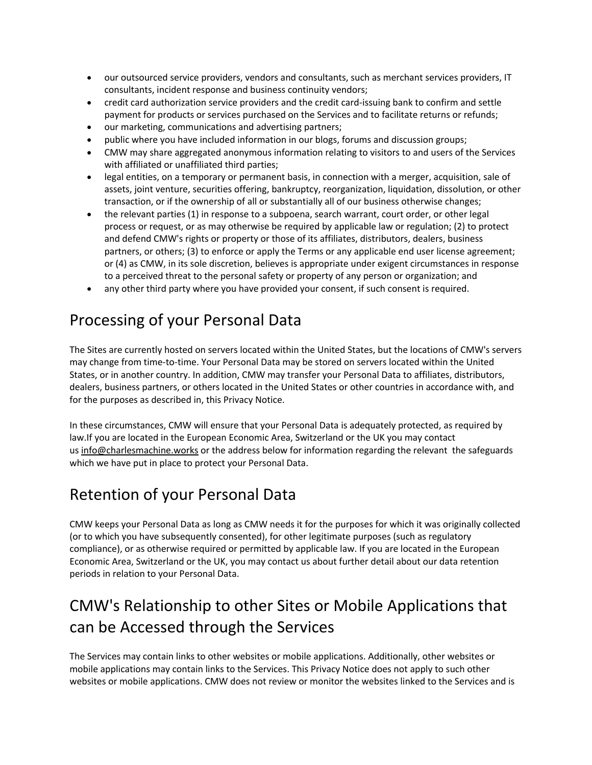- our outsourced service providers, vendors and consultants, such as merchant services providers, IT consultants, incident response and business continuity vendors;
- credit card authorization service providers and the credit card-issuing bank to confirm and settle payment for products or services purchased on the Services and to facilitate returns or refunds;
- our marketing, communications and advertising partners;
- public where you have included information in our blogs, forums and discussion groups;
- CMW may share aggregated anonymous information relating to visitors to and users of the Services with affiliated or unaffiliated third parties;
- legal entities, on a temporary or permanent basis, in connection with a merger, acquisition, sale of assets, joint venture, securities offering, bankruptcy, reorganization, liquidation, dissolution, or other transaction, or if the ownership of all or substantially all of our business otherwise changes;
- the relevant parties (1) in response to a subpoena, search warrant, court order, or other legal process or request, or as may otherwise be required by applicable law or regulation; (2) to protect and defend CMW's rights or property or those of its affiliates, distributors, dealers, business partners, or others; (3) to enforce or apply the Terms or any applicable end user license agreement; or (4) as CMW, in its sole discretion, believes is appropriate under exigent circumstances in response to a perceived threat to the personal safety or property of any person or organization; and
- any other third party where you have provided your consent, if such consent is required.

# Processing of your Personal Data

The Sites are currently hosted on servers located within the United States, but the locations of CMW's servers may change from time-to-time. Your Personal Data may be stored on servers located within the United States, or in another country. In addition, CMW may transfer your Personal Data to affiliates, distributors, dealers, business partners, or others located in the United States or other countries in accordance with, and for the purposes as described in, this Privacy Notice.

In these circumstances, CMW will ensure that your Personal Data is adequately protected, as required by law.If you are located in the European Economic Area, Switzerland or the UK you may contact us info@charlesmachine.works or the address below for information regarding the relevant the safeguards which we have put in place to protect your Personal Data.

# Retention of your Personal Data

CMW keeps your Personal Data as long as CMW needs it for the purposes for which it was originally collected (or to which you have subsequently consented), for other legitimate purposes (such as regulatory compliance), or as otherwise required or permitted by applicable law. If you are located in the European Economic Area, Switzerland or the UK, you may contact us about further detail about our data retention periods in relation to your Personal Data.

# CMW's Relationship to other Sites or Mobile Applications that can be Accessed through the Services

The Services may contain links to other websites or mobile applications. Additionally, other websites or mobile applications may contain links to the Services. This Privacy Notice does not apply to such other websites or mobile applications. CMW does not review or monitor the websites linked to the Services and is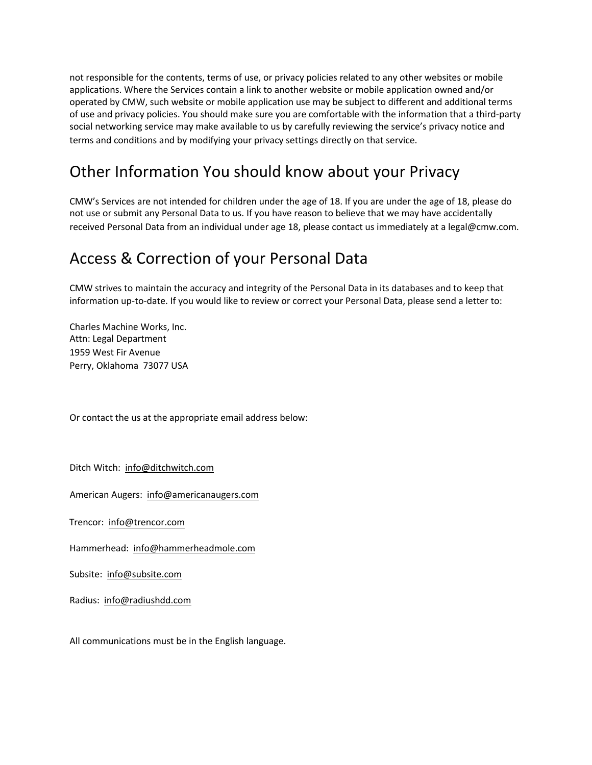not responsible for the contents, terms of use, or privacy policies related to any other websites or mobile applications. Where the Services contain a link to another website or mobile application owned and/or operated by CMW, such website or mobile application use may be subject to different and additional terms of use and privacy policies. You should make sure you are comfortable with the information that a third-party social networking service may make available to us by carefully reviewing the service's privacy notice and terms and conditions and by modifying your privacy settings directly on that service.

# Other Information You should know about your Privacy

CMW's Services are not intended for children under the age of 18. If you are under the age of 18, please do not use or submit any Personal Data to us. If you have reason to believe that we may have accidentally received Personal Data from an individual under age 18, please contact us immediately at a legal@cmw.com.

#### Access & Correction of your Personal Data

CMW strives to maintain the accuracy and integrity of the Personal Data in its databases and to keep that information up-to-date. If you would like to review or correct your Personal Data, please send a letter to:

Charles Machine Works, Inc. Attn: Legal Department 1959 West Fir Avenue Perry, Oklahoma 73077 USA

Or contact the us at the appropriate email address below:

Ditch Witch: info@ditchwitch.com

American Augers: info@americanaugers.com

Trencor: info@trencor.com

Hammerhead: info@hammerheadmole.com

Subsite: info@subsite.com

Radius: info@radiushdd.com

All communications must be in the English language.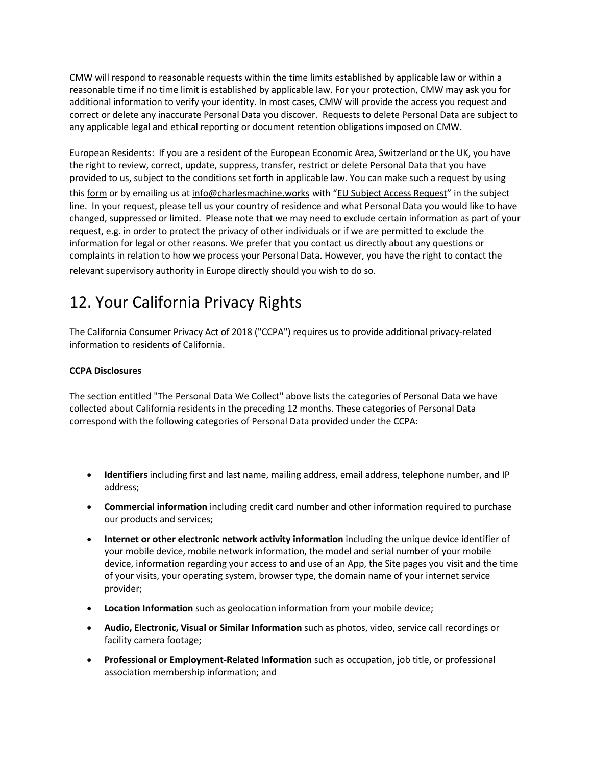CMW will respond to reasonable requests within the time limits established by applicable law or within a reasonable time if no time limit is established by applicable law. For your protection, CMW may ask you for additional information to verify your identity. In most cases, CMW will provide the access you request and correct or delete any inaccurate Personal Data you discover. Requests to delete Personal Data are subject to any applicable legal and ethical reporting or document retention obligations imposed on CMW.

European Residents: If you are a resident of the European Economic Area, Switzerland or the UK, you have the right to review, correct, update, suppress, transfer, restrict or delete Personal Data that you have provided to us, subject to the conditions set forth in applicable law. You can make such a request by using this form or by emailing us at info@charlesmachine.works with "EU Subject Access Request" in the subject line. In your request, please tell us your country of residence and what Personal Data you would like to have changed, suppressed or limited. Please note that we may need to exclude certain information as part of your request, e.g. in order to protect the privacy of other individuals or if we are permitted to exclude the information for legal or other reasons. We prefer that you contact us directly about any questions or complaints in relation to how we process your Personal Data. However, you have the right to contact the

relevant supervisory authority in Europe directly should you wish to do so.

# 12. Your California Privacy Rights

The California Consumer Privacy Act of 2018 ("CCPA") requires us to provide additional privacy-related information to residents of California.

#### **CCPA Disclosures**

The section entitled "The Personal Data We Collect" above lists the categories of Personal Data we have collected about California residents in the preceding 12 months. These categories of Personal Data correspond with the following categories of Personal Data provided under the CCPA:

- **Identifiers** including first and last name, mailing address, email address, telephone number, and IP address;
- **Commercial information** including credit card number and other information required to purchase our products and services;
- **Internet or other electronic network activity information** including the unique device identifier of your mobile device, mobile network information, the model and serial number of your mobile device, information regarding your access to and use of an App, the Site pages you visit and the time of your visits, your operating system, browser type, the domain name of your internet service provider;
- **Location Information** such as geolocation information from your mobile device;
- **Audio, Electronic, Visual or Similar Information** such as photos, video, service call recordings or facility camera footage;
- **Professional or Employment-Related Information** such as occupation, job title, or professional association membership information; and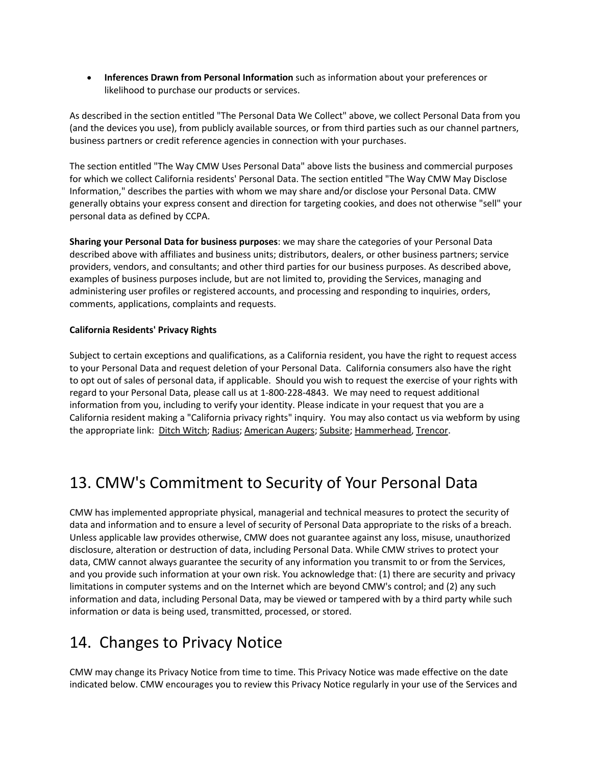• **Inferences Drawn from Personal Information** such as information about your preferences or likelihood to purchase our products or services.

As described in the section entitled "The Personal Data We Collect" above, we collect Personal Data from you (and the devices you use), from publicly available sources, or from third parties such as our channel partners, business partners or credit reference agencies in connection with your purchases.

The section entitled "The Way CMW Uses Personal Data" above lists the business and commercial purposes for which we collect California residents' Personal Data. The section entitled "The Way CMW May Disclose Information," describes the parties with whom we may share and/or disclose your Personal Data. CMW generally obtains your express consent and direction for targeting cookies, and does not otherwise "sell" your personal data as defined by CCPA.

**Sharing your Personal Data for business purposes**: we may share the categories of your Personal Data described above with affiliates and business units; distributors, dealers, or other business partners; service providers, vendors, and consultants; and other third parties for our business purposes. As described above, examples of business purposes include, but are not limited to, providing the Services, managing and administering user profiles or registered accounts, and processing and responding to inquiries, orders, comments, applications, complaints and requests.

#### **California Residents' Privacy Rights**

Subject to certain exceptions and qualifications, as a California resident, you have the right to request access to your Personal Data and request deletion of your Personal Data. California consumers also have the right to opt out of sales of personal data, if applicable. Should you wish to request the exercise of your rights with regard to your Personal Data, please call us at 1-800-228-4843. We may need to request additional information from you, including to verify your identity. Please indicate in your request that you are a California resident making a "California privacy rights" inquiry. You may also contact us via webform by using the appropriate link: Ditch Witch; Radius; American Augers; Subsite; Hammerhead, Trencor.

# 13. CMW's Commitment to Security of Your Personal Data

CMW has implemented appropriate physical, managerial and technical measures to protect the security of data and information and to ensure a level of security of Personal Data appropriate to the risks of a breach. Unless applicable law provides otherwise, CMW does not guarantee against any loss, misuse, unauthorized disclosure, alteration or destruction of data, including Personal Data. While CMW strives to protect your data, CMW cannot always guarantee the security of any information you transmit to or from the Services, and you provide such information at your own risk. You acknowledge that: (1) there are security and privacy limitations in computer systems and on the Internet which are beyond CMW's control; and (2) any such information and data, including Personal Data, may be viewed or tampered with by a third party while such information or data is being used, transmitted, processed, or stored.

#### 14. Changes to Privacy Notice

CMW may change its Privacy Notice from time to time. This Privacy Notice was made effective on the date indicated below. CMW encourages you to review this Privacy Notice regularly in your use of the Services and